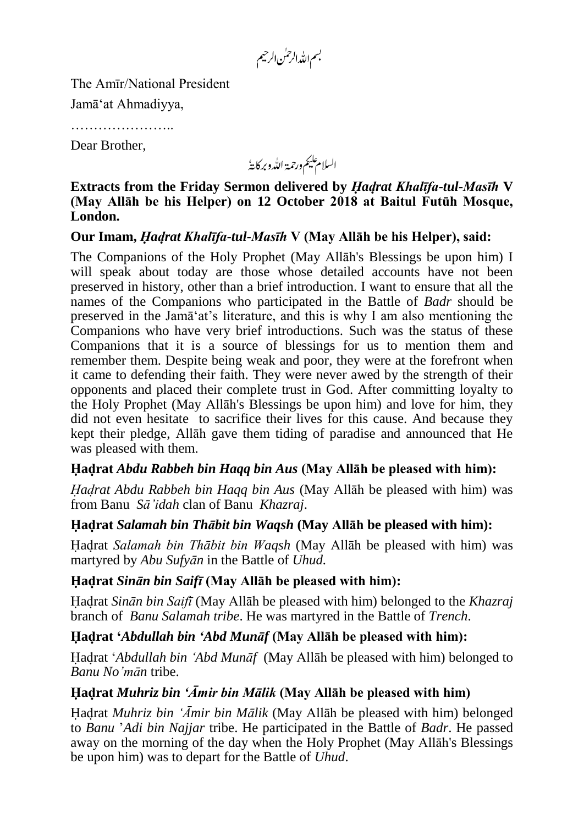بسم الله الرحمٰن الرحيم

The Amīr/National President

Jamā'at Ahmadiyya,

…………………..

Dear Brother,

السلام عليم ورحمة اللدو بركايةُ

**Extracts from the Friday Sermon delivered by** *Hadrat Khalīfa-tul-Masīh* **V (May Allāh be his Helper) on 12 October 2018 at Baitul Futūh Mosque, London.**

# **Our Imam,** *Hadrat Khalīfa-tul-Masīh* **V (May Allāh be his Helper), said:**

The Companions of the Holy Prophet (May Allāh's Blessings be upon him) I will speak about today are those whose detailed accounts have not been preserved in history, other than a brief introduction. I want to ensure that all the names of the Companions who participated in the Battle of *Badr* should be preserved in the Jamā'at's literature, and this is why I am also mentioning the Companions who have very brief introductions. Such was the status of these Companions that it is a source of blessings for us to mention them and remember them. Despite being weak and poor, they were at the forefront when it came to defending their faith. They were never awed by the strength of their opponents and placed their complete trust in God. After committing loyalty to the Holy Prophet (May Allāh's Blessings be upon him) and love for him, they did not even hesitate to sacrifice their lives for this cause. And because they kept their pledge, Allāh gave them tiding of paradise and announced that He was pleased with them.

## **Hadrat** *Abdu Rabbeh bin Haqq bin Aus* **(May Allāh be pleased with him):**

*Hadrat Abdu Rabbeh bin Haqq bin Aus* (May Allāh be pleased with him) was from Banu *Sā'idah* clan of Banu *Khazraj*.

## **Hadrat** *Salamah bin Thābit bin Waqsh* **(May Allāh be pleased with him):**

Hadrat *Salamah bin Thābit bin Waqsh* (May Allāh be pleased with him) was martyred by *Abu Sufyān* in the Battle of *Uhud.*

## **Hadrat** *Sinān bin Saifī* **(May Allāh be pleased with him):**

Hadrat *Sinān bin Saifī* (May Allāh be pleased with him) belonged to the *Khazraj* branch of *Banu Salamah tribe*. He was martyred in the Battle of *Trench*.

## **Hadrat '***Abdullah bin 'Abd Munāf* **(May Allāh be pleased with him):**

Hadrat '*Abdullah bin 'Abd Munāf* (May Allāh be pleased with him) belonged to *Banu No'mān* tribe.

## **Hadrat** *Muhriz bin 'Āmir bin Mālik* **(May Allāh be pleased with him)**

Hadrat *Muhriz bin 'Āmir bin Mālik* (May Allāh be pleased with him) belonged to *Banu* '*Adi bin Najjar* tribe. He participated in the Battle of *Badr*. He passed away on the morning of the day when the Holy Prophet (May Allāh's Blessings be upon him) was to depart for the Battle of *Uhud*.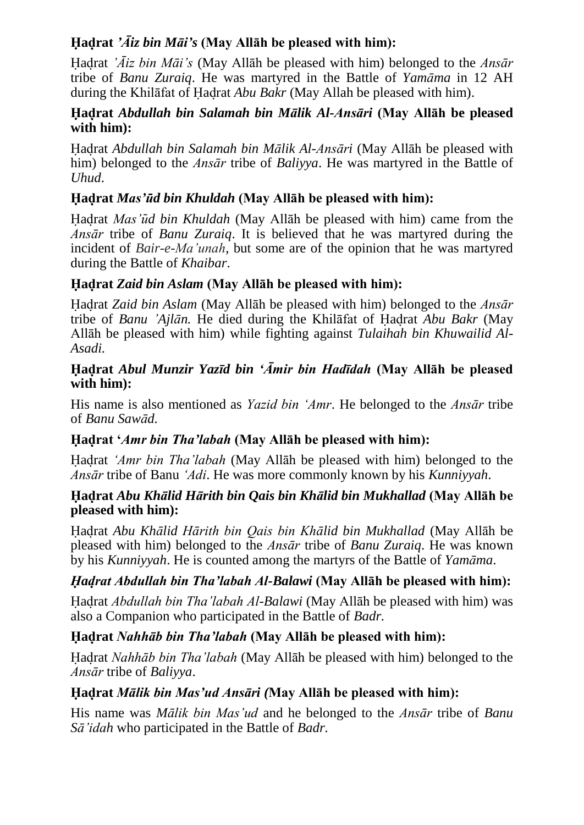# **Hadrat** *'Āiz bin Māi's* **(May Allāh be pleased with him):**

Hadrat *'Āiz bin Māi's* (May Allāh be pleased with him) belonged to the *Ansār* tribe of *Banu Zuraiq*. He was martyred in the Battle of *Yamāma* in 12 AH during the Khilāfat of Hadrat *Abu Bakr* (May Allah be pleased with him).

#### **Hadrat** *Abdullah bin Salamah bin Mālik Al-Ansāri* **(May Allāh be pleased with him):**

Hadrat *Abdullah bin Salamah bin Mālik Al-Ansāri* (May Allāh be pleased with him) belonged to the *Ansār* tribe of *Baliyya*. He was martyred in the Battle of *Uhud*.

# **Hadrat** *Mas'ud bin Khuldah* **(May Allāh be pleased with him):**

Hadrat *Mas'ud bin Khuldah* (May Allāh be pleased with him) came from the *Ansār* tribe of *Banu Zuraiq*. It is believed that he was martyred during the incident of *Bair-e-Ma'unah*, but some are of the opinion that he was martyred during the Battle of *Khaibar*.

## **Hadrat** *Zaid bin Aslam* **(May Allāh be pleased with him):**

Hadrat *Zaid bin Aslam* (May Allāh be pleased with him) belonged to the *Ansār* tribe of *Banu 'Ajlān.* He died during the Khilāfat of Hadrat *Abu Bakr* (May Allāh be pleased with him) while fighting against *Tulaihah bin Khuwailid Al-Asadi.*

#### **Hadrat** *Abul Munzir Yazīd bin 'Āmir bin Hadīdah* **(May Allāh be pleased with him):**

His name is also mentioned as *Yazid bin 'Amr*. He belonged to the *Ansār* tribe of *Banu Sawād.*

## **Hadrat '***Amr bin Tha'labah* **(May Allāh be pleased with him):**

Hadrat *'Amr bin Tha'labah* (May Allāh be pleased with him) belonged to the *Ansār* tribe of Banu *'Adi*. He was more commonly known by his *Kunniyyah*.

### **Hadrat** *Abu Khālid Hārith bin Qais bin Khālid bin Mukhallad* **(May Allāh be pleased with him):**

Hadrat *Abu Khālid Hārith bin Qais bin Khālid bin Mukhallad* (May Allāh be pleased with him) belonged to the *Ansār* tribe of *Banu Zuraiq*. He was known by his *Kunniyyah*. He is counted among the martyrs of the Battle of *Yamāma*.

## *Hadrat Abdullah bin Tha'labah Al-Balawi* **(May Allāh be pleased with him):**

Hadrat *Abdullah bin Tha'labah Al-Balawi* (May Allāh be pleased with him) was also a Companion who participated in the Battle of *Badr.*

## **Hadrat** *Nahhāb bin Tha'labah* **(May Allāh be pleased with him):**

Hadrat *Nahhāb bin Tha'labah* (May Allāh be pleased with him) belonged to the *Ansār* tribe of *Baliyya*.

## **Hadrat** *Mālik bin Mas'ud Ansāri (***May Allāh be pleased with him):**

His name was *Mālik bin Mas'ud* and he belonged to the *Ansār* tribe of *Banu Sā'idah* who participated in the Battle of *Badr.*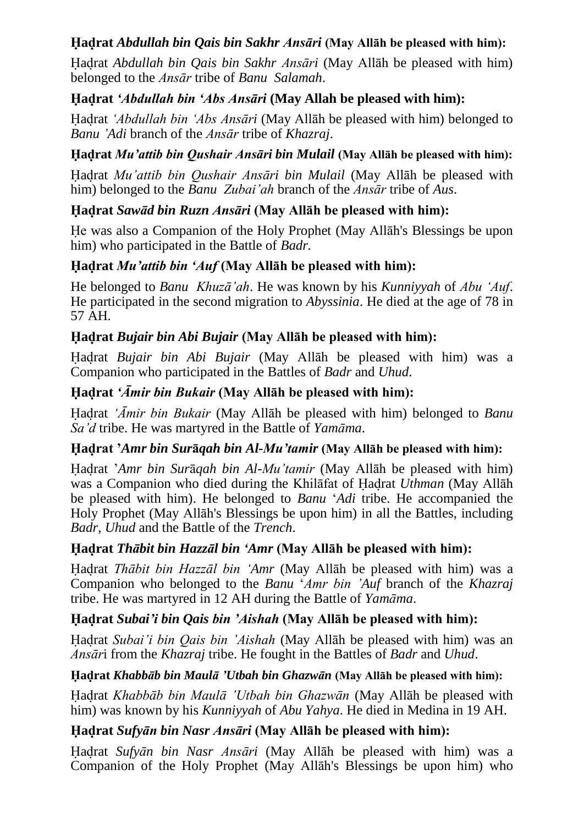# **Hadrat** *Abdullah bin Qais bin Sakhr Ansāri* **(May Allāh be pleased with him):**

Hadrat *Abdullah bin Qais bin Sakhr Ansāri* (May Allāh be pleased with him) belonged to the *Ansār* tribe of *Banu Salamah*.

### **Hadrat** *'Abdullah bin 'Abs Ansāri* **(May Allah be pleased with him):**

Hadrat *'Abdullah bin 'Abs Ansāri* (May Allāh be pleased with him) belonged to *Banu 'Adi* branch of the *Ansār* tribe of *Khazraj*.

### **Hadrat** *Mu'attib bin Qushair Ansāri bin Mulail* **(May Allāh be pleased with him):**

Hadrat *Mu'attib bin Qushair Ansāri bin Mulail* (May Allāh be pleased with him) belonged to the *Banu Zubai'ah* branch of the *Ansār* tribe of *Aus*.

### **Hadrat** *Sawād bin Ruzn Ansāri* **(May Allāh be pleased with him):**

He was also a Companion of the Holy Prophet (May Allāh's Blessings be upon him) who participated in the Battle of *Badr.*

## **Hadrat** *Mu'attib bin 'Auf* **(May Allāh be pleased with him):**

He belonged to *Banu Khuzā'ah*. He was known by his *Kunniyyah* of *Abu 'Auf*. He participated in the second migration to *Abyssinia*. He died at the age of 78 in 57 AH.

### **Hadrat** *Bujair bin Abi Bujair* **(May Allāh be pleased with him):**

Hadrat *Bujair bin Abi Bujair* (May Allāh be pleased with him) was a Companion who participated in the Battles of *Badr* and *Uhud*.

#### **Hadrat** *'Āmir bin Bukair* **(May Allāh be pleased with him):**

Hadrat *'Āmir bin Bukair* (May Allāh be pleased with him) belonged to *Banu Sa'd* tribe. He was martyred in the Battle of *Yamāma*.

#### **Hadrat '***Amr bin Sur***ā***qah bin Al-Mu'tamir* **(May Allāh be pleased with him):**

Hadrat '*Amr bin Sur*ā*qah bin Al-Mu'tamir* (May Allāh be pleased with him) was a Companion who died during the Khilāfat of Hadrat *Uthman* (May Allāh be pleased with him). He belonged to *Banu* '*Adi* tribe. He accompanied the Holy Prophet (May Allāh's Blessings be upon him) in all the Battles, including *Badr*, *Uhud* and the Battle of the *Trench*.

#### **Hadrat** *Thābit bin Hazzāl bin 'Amr* **(May Allāh be pleased with him):**

Hadrat *Thābit bin Hazzāl bin 'Amr* (May Allāh be pleased with him) was a Companion who belonged to the *Banu* '*Amr bin 'Auf* branch of the *Khazraj* tribe. He was martyred in 12 AH during the Battle of *Yamāma*.

#### **Hadrat** *Subai'i bin Qais bin 'Aishah* **(May Allāh be pleased with him):**

Hadrat *Subai'i bin Qais bin 'Aishah* (May Allāh be pleased with him) was an *Ansār*i from the *Khazraj* tribe. He fought in the Battles of *Badr* and *Uhud*.

#### **Hadrat** *Khabbāb bin Maulā 'Utbah bin Ghazwān* **(May Allāh be pleased with him):**

Hadrat *Khabbāb bin Maulā 'Utbah bin Ghazwān* (May Allāh be pleased with him) was known by his *Kunniyyah* of *Abu Yahya*. He died in Medina in 19 AH.

## **Hadrat** *Sufyān bin Nasr Ansāri* **(May Allāh be pleased with him):**

Hadrat *Sufyān bin Nasr Ansāri* (May Allāh be pleased with him) was a Companion of the Holy Prophet (May Allāh's Blessings be upon him) who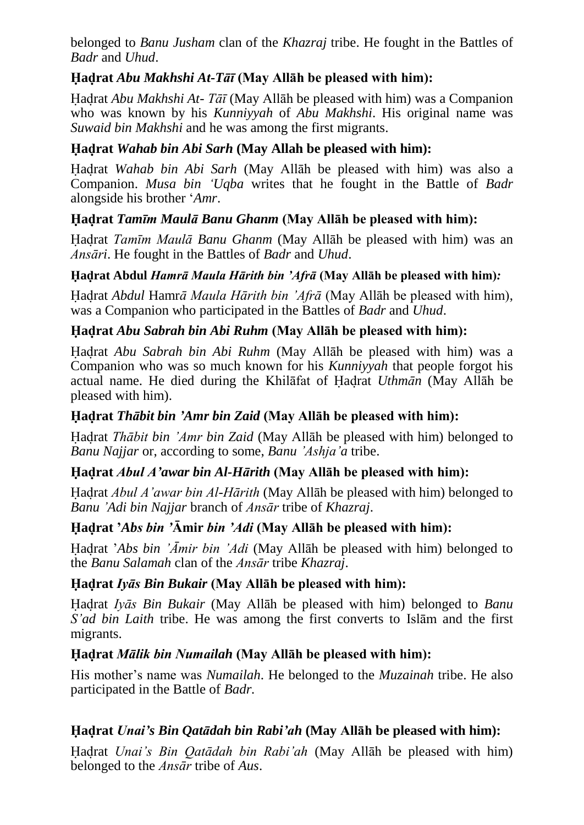belonged to *Banu Jusham* clan of the *Khazraj* tribe. He fought in the Battles of *Badr* and *Uhud*.

# **Hadrat** *Abu Makhshi At-Tāī* **(May Allāh be pleased with him):**

Hadrat *Abu Makhshi At- Tāī* (May Allāh be pleased with him) was a Companion who was known by his *Kunniyyah* of *Abu Makhshi*. His original name was *Suwaid bin Makhshi* and he was among the first migrants.

# **Hadrat** *Wahab bin Abi Sarh* **(May Allah be pleased with him):**

Hadrat *Wahab bin Abi Sarh* (May Allāh be pleased with him) was also a Companion. *Musa bin 'Uqba* writes that he fought in the Battle of *Badr* alongside his brother '*Amr*.

# **Hadrat** *Tamīm Maulā Banu Ghanm* **(May Allāh be pleased with him):**

Hadrat *Tamīm Maulā Banu Ghanm* (May Allāh be pleased with him) was an *Ansāri*. He fought in the Battles of *Badr* and *Uhud*.

## **Hadrat Abdul** *Hamrā Maula Hārith bin 'Afrā* **(May Allāh be pleased with him)***:*

Hadrat *Abdul* Hamr*ā Maula Hārith bin 'Afrā* (May Allāh be pleased with him), was a Companion who participated in the Battles of *Badr* and *Uhud*.

# **Hadrat** *Abu Sabrah bin Abi Ruhm* **(May Allāh be pleased with him):**

Hadrat *Abu Sabrah bin Abi Ruhm* (May Allāh be pleased with him) was a Companion who was so much known for his *Kunniyyah* that people forgot his actual name. He died during the Khilāfat of Hadrat *Uthmān* (May Allāh be pleased with him).

## **Hadrat** *Thābit bin 'Amr bin Zaid* **(May Allāh be pleased with him):**

Hadrat *Thābit bin 'Amr bin Zaid* (May Allāh be pleased with him) belonged to *Banu Najjar* or, according to some, *Banu 'Ashja'a* tribe.

## **Hadrat** *Abul A'awar bin Al-Hārith* **(May Allāh be pleased with him):**

Hadrat *Abul A'awar bin Al-Hārith* (May Allāh be pleased with him) belonged to *Banu 'Adi bin Najjar* branch of *Ansār* tribe of *Khazraj*.

## **Hadrat '***Abs bin '***Āmir** *bin 'Adi* **(May Allāh be pleased with him):**

Hadrat '*Abs bin 'Āmir bin 'Adi* (May Allāh be pleased with him) belonged to the *Banu Salamah* clan of the *Ansār* tribe *Khazraj*.

## **Hadrat** *Iyās Bin Bukair* **(May Allāh be pleased with him):**

Hadrat *Iyās Bin Bukair* (May Allāh be pleased with him) belonged to *Banu S'ad bin Laith* tribe. He was among the first converts to Islām and the first migrants.

## **Hadrat** *Mālik bin Numailah* **(May Allāh be pleased with him):**

His mother's name was *Numailah*. He belonged to the *Muzainah* tribe. He also participated in the Battle of *Badr.*

# **Hadrat** *Unai's Bin Qatādah bin Rabi'ah* **(May Allāh be pleased with him):**

Hadrat *Unai's Bin Qatādah bin Rabi'ah* (May Allāh be pleased with him) belonged to the *Ansār* tribe of *Aus*.